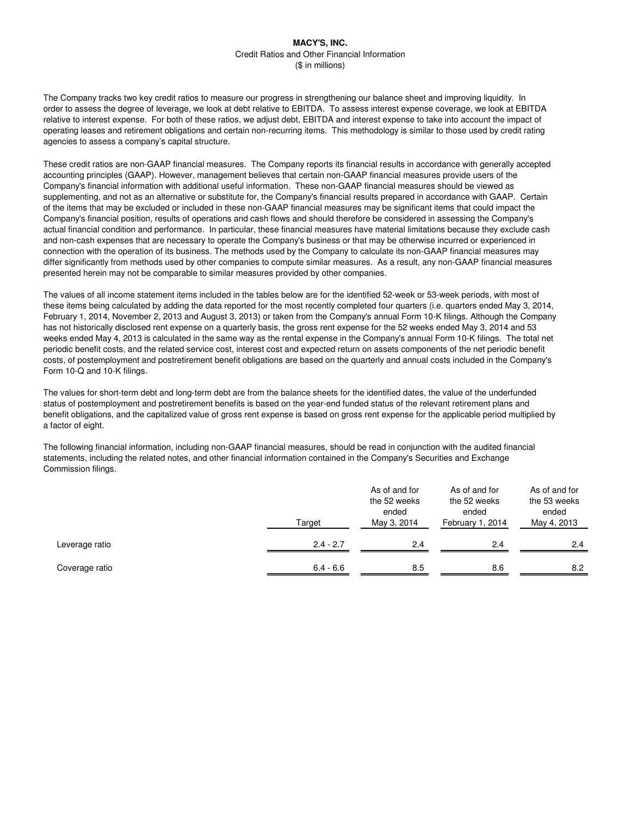The Company tracks two key credit ratios to measure our progress in strengthening our balance sheet and improving liquidity. In order to assess the degree of leverage, we look at debt relative to EBITDA. To assess interest expense coverage, we look at EBITDA relative to interest expense. For both of these ratios, we adjust debt, EBITDA and interest expense to take into account the impact of operating leases and retirement obligations and certain non-recurring items. This methodology is similar to those used by credit rating agencies to assess a company's capital structure.

These credit ratios are non-GAAP financial measures. The Company reports its financial results in accordance with generally accepted accounting principles (GAAP). However, management believes that certain non-GAAP financial measures provide users of the Company's financial information with additional useful information. These non-GAAP financial measures should be viewed as supplementing, and not as an alternative or substitute for, the Company's financial results prepared in accordance with GAAP. Certain of the items that may be excluded or included in these non-GAAP financial measures may be significant items that could impact the Company's financial position, results of operations and cash flows and should therefore be considered in assessing the Company's actual financial condition and performance. In particular, these financial measures have material limitations because they exclude cash and non-cash expenses that are necessary to operate the Company's business or that may be otherwise incurred or experienced in connection with the operation of its business. The methods used by the Company to calculate its non-GAAP financial measures may differ significantly from methods used by other companies to compute similar measures. As a result, any non-GAAP financial measures presented herein may not be comparable to similar measures provided by other companies.

The values of all income statement items included in the tables below are for the identified 52-week or 53-week periods, with most of these items being calculated by adding the data reported for the most recently completed four quarters (i.e. quarters ended May 3, 2014, February 1, 2014, November 2, 2013 and August 3, 2013) or taken from the Company's annual Form 10-K filings. Although the Company has not historically disclosed rent expense on a quarterly basis, the gross rent expense for the 52 weeks ended May 3, 2014 and 53 weeks ended May 4, 2013 is calculated in the same way as the rental expense in the Company's annual Form 10-K filings. The total net periodic benefit costs, and the related service cost, interest cost and expected return on assets components of the net periodic benefit costs, of postemployment and postretirement benefit obligations are based on the quarterly and annual costs included in the Company's Form 10-Q and 10-K filings.

The values for short-term debt and long-term debt are from the balance sheets for the identified dates, the value of the underfunded status of postemployment and postretirement benefits is based on the year-end funded status of the relevant retirement plans and benefit obligations, and the capitalized value of gross rent expense is based on gross rent expense for the applicable period multiplied by a factor of eight.

The following financial information, including non-GAAP financial measures, should be read in conjunction with the audited financial statements, including the related notes, and other financial information contained in the Company's Securities and Exchange Commission filings.

| Target         |             | As of and for<br>the 52 weeks<br>ended<br>May 3, 2014 | As of and for<br>the 52 weeks<br>ended<br>February 1, 2014 | As of and for<br>the 53 weeks<br>ended<br>May 4, 2013 |  |  |
|----------------|-------------|-------------------------------------------------------|------------------------------------------------------------|-------------------------------------------------------|--|--|
| Leverage ratio | $2.4 - 2.7$ | 2.4                                                   | 2.4                                                        | 2.4                                                   |  |  |
| Coverage ratio | $6.4 - 6.6$ | 8.5                                                   | 8.6                                                        | 8.2                                                   |  |  |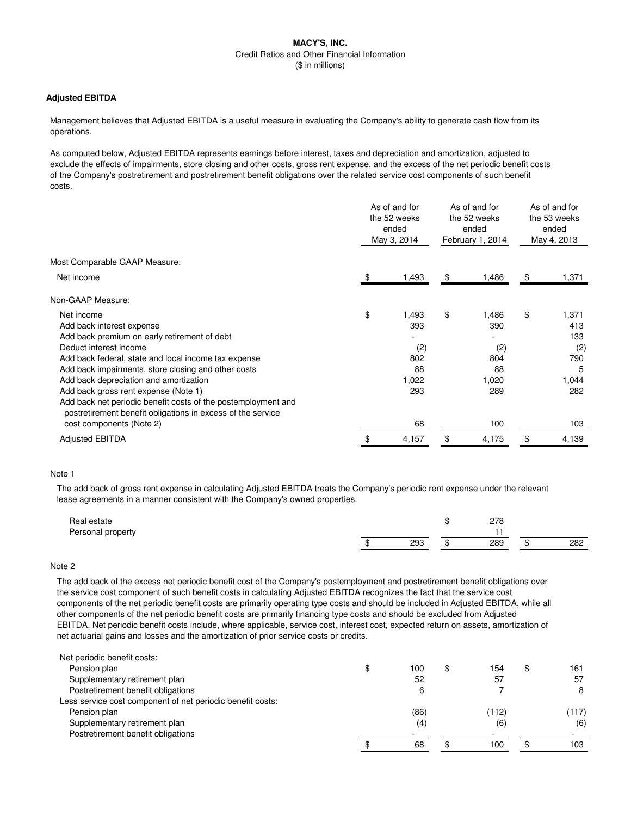### **Adjusted EBITDA**

Management believes that Adjusted EBITDA is a useful measure in evaluating the Company's ability to generate cash flow from its operations.

As computed below, Adjusted EBITDA represents earnings before interest, taxes and depreciation and amortization, adjusted to exclude the effects of impairments, store closing and other costs, gross rent expense, and the excess of the net periodic benefit costs of the Company's postretirement and postretirement benefit obligations over the related service cost components of such benefit costs.

|                                                                                                                              | As of and for<br>the 52 weeks<br>ended<br>May 3, 2014 |       | As of and for<br>the 52 weeks<br>ended<br>February 1, 2014 |       | As of and for<br>the 53 weeks<br>ended<br>May 4, 2013 |       |
|------------------------------------------------------------------------------------------------------------------------------|-------------------------------------------------------|-------|------------------------------------------------------------|-------|-------------------------------------------------------|-------|
| Most Comparable GAAP Measure:                                                                                                |                                                       |       |                                                            |       |                                                       |       |
| Net income                                                                                                                   |                                                       | 1,493 | \$                                                         | 1,486 | \$                                                    | 1,371 |
| Non-GAAP Measure:                                                                                                            |                                                       |       |                                                            |       |                                                       |       |
| Net income                                                                                                                   | \$                                                    | 1,493 | \$                                                         | 1,486 | \$                                                    | 1,371 |
| Add back interest expense                                                                                                    |                                                       | 393   |                                                            | 390   |                                                       | 413   |
| Add back premium on early retirement of debt                                                                                 |                                                       |       |                                                            |       |                                                       | 133   |
| Deduct interest income                                                                                                       |                                                       | (2)   |                                                            | (2)   |                                                       | (2)   |
| Add back federal, state and local income tax expense                                                                         |                                                       | 802   |                                                            | 804   |                                                       | 790   |
| Add back impairments, store closing and other costs                                                                          |                                                       | 88    |                                                            | 88    |                                                       | 5     |
| Add back depreciation and amortization                                                                                       |                                                       | 1,022 |                                                            | 1,020 |                                                       | 1,044 |
| Add back gross rent expense (Note 1)                                                                                         |                                                       | 293   |                                                            | 289   |                                                       | 282   |
| Add back net periodic benefit costs of the postemployment and<br>postretirement benefit obligations in excess of the service |                                                       |       |                                                            |       |                                                       |       |
| cost components (Note 2)                                                                                                     |                                                       | 68    |                                                            | 100   |                                                       | 103   |
| <b>Adjusted EBITDA</b>                                                                                                       | \$                                                    | 4,157 | \$                                                         | 4,175 | \$                                                    | 4,139 |

#### Note 1

The add back of gross rent expense in calculating Adjusted EBITDA treats the Company's periodic rent expense under the relevant lease agreements in a manner consistent with the Company's owned properties.

| Real estate       |     |         | 220<br>20 |     |
|-------------------|-----|---------|-----------|-----|
| Personal property |     |         |           |     |
|                   | 293 | $\cdot$ | 289       | 282 |

#### Note 2

The add back of the excess net periodic benefit cost of the Company's postemployment and postretirement benefit obligations over the service cost component of such benefit costs in calculating Adjusted EBITDA recognizes the fact that the service cost components of the net periodic benefit costs are primarily operating type costs and should be included in Adjusted EBITDA, while all other components of the net periodic benefit costs are primarily financing type costs and should be excluded from Adjusted EBITDA. Net periodic benefit costs include, where applicable, service cost, interest cost, expected return on assets, amortization of net actuarial gains and losses and the amortization of prior service costs or credits.

| Net periodic benefit costs:                                |           |       |           |
|------------------------------------------------------------|-----------|-------|-----------|
| Pension plan                                               | \$<br>100 | 154   | \$<br>161 |
| Supplementary retirement plan                              | 52        | 57    | 57        |
| Postretirement benefit obligations                         | 6         |       | 8         |
| Less service cost component of net periodic benefit costs: |           |       |           |
| Pension plan                                               | (86)      | (112) | (117)     |
| Supplementary retirement plan                              | (4)       | (6    | (6)       |
| Postretirement benefit obligations                         |           | -     |           |
|                                                            | 68        | 100   | 103       |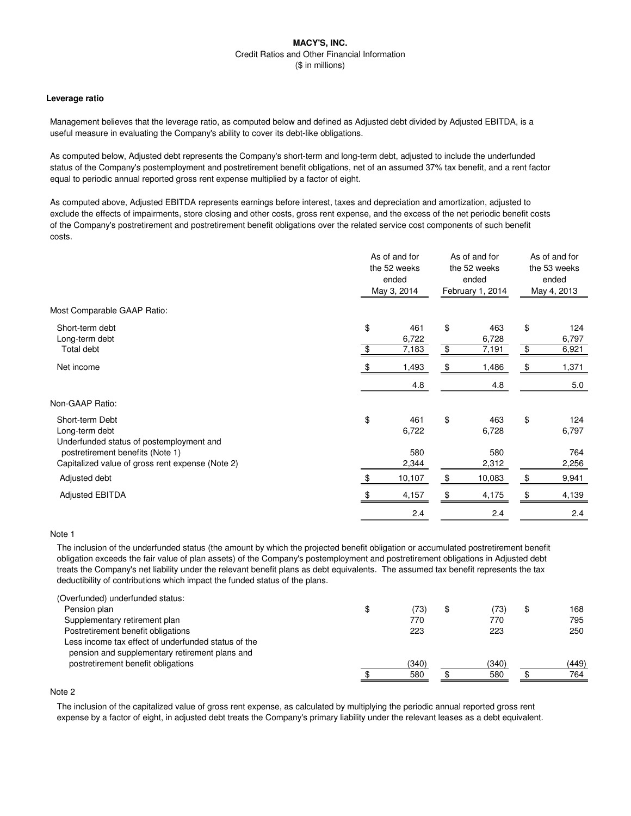#### **Leverage ratio**

Management believes that the leverage ratio, as computed below and defined as Adjusted debt divided by Adjusted EBITDA, is a useful measure in evaluating the Company's ability to cover its debt-like obligations.

As computed below, Adjusted debt represents the Company's short-term and long-term debt, adjusted to include the underfunded status of the Company's postemployment and postretirement benefit obligations, net of an assumed 37% tax benefit, and a rent factor equal to periodic annual reported gross rent expense multiplied by a factor of eight.

As computed above, Adjusted EBITDA represents earnings before interest, taxes and depreciation and amortization, adjusted to exclude the effects of impairments, store closing and other costs, gross rent expense, and the excess of the net periodic benefit costs of the Company's postretirement and postretirement benefit obligations over the related service cost components of such benefit costs.

| Most Comparable GAAP Ratio:<br>\$<br>\$<br>\$<br>Short-term debt<br>461<br>463<br>Long-term debt<br>6,728<br>6,722<br>$\,$<br>\$<br>\$<br>Total debt<br>7,183<br>7,191<br>Net income<br>1,486<br>1,493<br>\$<br>\$<br>4.8<br>4.8<br>Non-GAAP Ratio:<br>\$<br>\$<br>\$<br>Short-term Debt<br>461<br>463<br>Long-term debt<br>6,722<br>6,728<br>Underfunded status of postemployment and<br>580<br>postretirement benefits (Note 1)<br>580<br>Capitalized value of gross rent expense (Note 2)<br>2,344<br>2,312<br>10,107<br>\$<br>10,083<br>\$<br>Adjusted debt<br>\$<br><b>Adjusted EBITDA</b><br>\$<br>4,157<br>4,175<br>2.4<br>2.4 | As of and for<br>the 52 weeks<br>ended<br>May 3, 2014 |  | As of and for<br>the 52 weeks<br>ended<br>February 1, 2014 |  | As of and for<br>the 53 weeks<br>ended<br>May 4, 2013 |                     |
|---------------------------------------------------------------------------------------------------------------------------------------------------------------------------------------------------------------------------------------------------------------------------------------------------------------------------------------------------------------------------------------------------------------------------------------------------------------------------------------------------------------------------------------------------------------------------------------------------------------------------------------|-------------------------------------------------------|--|------------------------------------------------------------|--|-------------------------------------------------------|---------------------|
|                                                                                                                                                                                                                                                                                                                                                                                                                                                                                                                                                                                                                                       |                                                       |  |                                                            |  |                                                       |                     |
|                                                                                                                                                                                                                                                                                                                                                                                                                                                                                                                                                                                                                                       |                                                       |  |                                                            |  |                                                       | 124<br>6,797        |
|                                                                                                                                                                                                                                                                                                                                                                                                                                                                                                                                                                                                                                       |                                                       |  |                                                            |  |                                                       | 6,921               |
|                                                                                                                                                                                                                                                                                                                                                                                                                                                                                                                                                                                                                                       |                                                       |  |                                                            |  |                                                       | 1,371               |
|                                                                                                                                                                                                                                                                                                                                                                                                                                                                                                                                                                                                                                       |                                                       |  |                                                            |  |                                                       | 5.0                 |
|                                                                                                                                                                                                                                                                                                                                                                                                                                                                                                                                                                                                                                       |                                                       |  |                                                            |  |                                                       |                     |
|                                                                                                                                                                                                                                                                                                                                                                                                                                                                                                                                                                                                                                       |                                                       |  |                                                            |  |                                                       | 124<br>6,797<br>764 |
|                                                                                                                                                                                                                                                                                                                                                                                                                                                                                                                                                                                                                                       |                                                       |  |                                                            |  |                                                       | 2,256               |
|                                                                                                                                                                                                                                                                                                                                                                                                                                                                                                                                                                                                                                       |                                                       |  |                                                            |  |                                                       | 9,941               |
|                                                                                                                                                                                                                                                                                                                                                                                                                                                                                                                                                                                                                                       |                                                       |  |                                                            |  |                                                       | 4,139               |
|                                                                                                                                                                                                                                                                                                                                                                                                                                                                                                                                                                                                                                       |                                                       |  |                                                            |  |                                                       | 2.4                 |

## Note 1

The inclusion of the underfunded status (the amount by which the projected benefit obligation or accumulated postretirement benefit obligation exceeds the fair value of plan assets) of the Company's postemployment and postretirement obligations in Adjusted debt treats the Company's net liability under the relevant benefit plans as debt equivalents. The assumed tax benefit represents the tax deductibility of contributions which impact the funded status of the plans.

| (Overfunded) underfunded status:                                                                      |           |       |           |
|-------------------------------------------------------------------------------------------------------|-----------|-------|-----------|
| Pension plan                                                                                          | \$<br>73) | ,73)  | \$<br>168 |
| Supplementary retirement plan                                                                         | 770       | 770   | 795       |
| Postretirement benefit obligations                                                                    | 223       | 223   | 250       |
| Less income tax effect of underfunded status of the<br>pension and supplementary retirement plans and |           |       |           |
| postretirement benefit obligations                                                                    | (340)     | (340) | (449)     |
|                                                                                                       | 580       | 580   | 764       |
|                                                                                                       |           |       |           |

# Note 2

The inclusion of the capitalized value of gross rent expense, as calculated by multiplying the periodic annual reported gross rent expense by a factor of eight, in adjusted debt treats the Company's primary liability under the relevant leases as a debt equivalent.